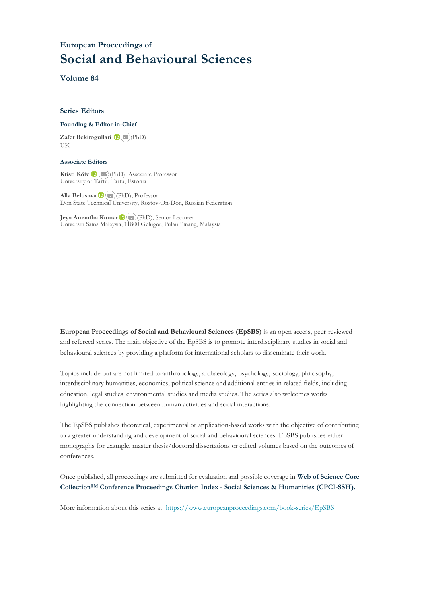## **European Proceedings of Social and Behavioural Sciences**

**Volume 84**

#### **Series Editors**

#### **Founding & Editor-in-Chief**

**Zafer Bekirogullari**(PhD) UK

#### **Associate Editors**

**Kristi Köiv** (PhD), Associate Professor University of Tartu, Tartu, Estonia

**Alla Belusova**(PhD), Professor Don State Technical University, Rostov-On-Don, Russian Federation

**Jeya Amantha Kumar**(PhD), Senior Lecturer Universiti Sains Malaysia, [1180](mailto:amantha@usm.my)0 Gelugor, Pulau Pinang, Malaysia

**European Proceedings of Social and Behavioural Sciences (EpSBS)** is an open access, peer-reviewed and refereed series. The main objective of the EpSBS is to promote interdisciplinary studies in social and behavioural sciences by providing a platform for international scholars to disseminate their work.

Topics include but are not limited to anthropology, archaeology, psychology, sociology, philosophy, interdisciplinary humanities, economics, political science and additional entries in related fields, including education, legal studies, environmental studies and media studies. The series also welcomes works highlighting the connection between human activities and social interactions.

The EpSBS publishes theoretical, experimental or application-based works with the objective of contributing to a greater understanding and development of social and behavioural sciences. EpSBS publishes either monographs for example, master thesis/doctoral dissertations or edited volumes based on the outcomes of conferences.

Once published, all proceedings are submitted for evaluation and possible coverage in **Web of [Science](https://clarivate.com/webofsciencegroup/solutions/webofscience-cpci/) Core Collection™ Conference Proceedings Citation Index - Social Sciences & Humanities [\(CPCI-SSH\).](https://clarivate.com/webofsciencegroup/solutions/webofscience-cpci/)**

More information about this series at[: https://www.europeanproceedings.com/book-series/EpSBS](https://www.europeanproceedings.com/book-series/EpSBS)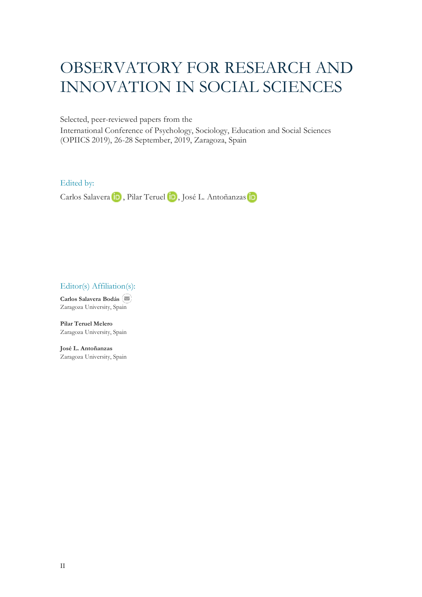# OBSERVATORY FOR RESEARCH AND INNOVATION IN SOCIAL SCIENCES

Selected, peer-reviewed papers from the

International Conference of Psychology, Sociology, Education and Social Sciences (OPIICS 2019), 26-28 September, 2019, Zaragoza, Spain

Edited by:

CarlosSalavera (iD, Pilar Teruel (iD, José L. Antoñanzas iD

Editor(s) Affiliation(s):

**Carlos Salavera Bodás**  Zaragoza University, Spain

**Pilar Teruel Melero** Zaragoza University, Spain

**José L. Antoñanzas** Zaragoza University, Spain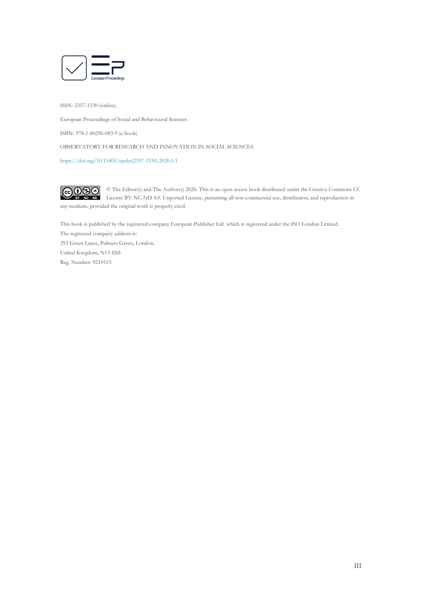

ISSN: 2357-1330 (online).

European Proceedings of Social and Behavioural Sciences

ISBN: 978-1-80296-083-9 (e-book)

OBSERVATORY FOR RESEARCH AND INNOVATION IN SOCIAL SCIENCES

[https://doi.org/10.15405/epsbs\(2357-1330\).2020.5.1](https://doi.org/10.15405/epsbs(2357-1330).2020.5.1)

 $CO$  $O$  $O$  $O$ © The Editor(s) and The Author(s) 2020. This is an open access book distributed under the Creative Commons CC License BY-NC-ND 4.0. Unported License, permitting all non-commercial use, distribution, and reproduction in any medium, provided the original work is properly cited.

This book is published by the registered company European Publisher Ltd. which is registered under the ISO London Limited. The registered company address is:

293 Green Lanes, Palmers Green, London, United Kingdom, N13 4XS Reg. Number: 9219513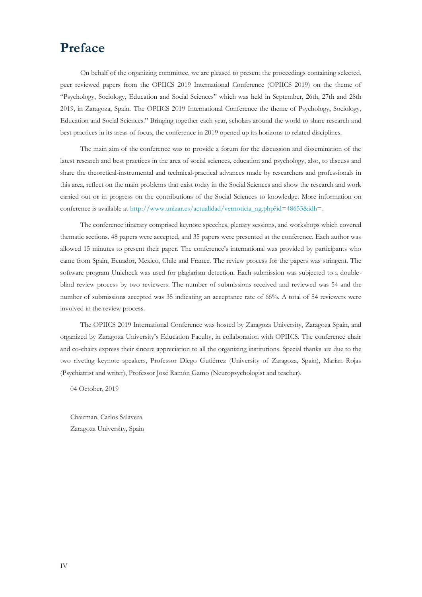## **Preface**

On behalf of the organizing committee, we are pleased to present the proceedings containing selected, peer reviewed papers from the OPIICS 2019 International Conference (OPIICS 2019) on the theme of "Psychology, Sociology, Education and Social Sciences" which was held in September, 26th, 27th and 28th 2019, in Zaragoza, Spain. The OPIICS 2019 International Conference the theme of Psychology, Sociology, Education and Social Sciences." Bringing together each year, scholars around the world to share research and best practices in its areas of focus, the conference in 2019 opened up its horizons to related disciplines.

The main aim of the conference was to provide a forum for the discussion and dissemination of the latest research and best practices in the area of social sciences, education and psychology, also, to discuss and share the theoretical-instrumental and technical-practical advances made by researchers and professionals in this area, reflect on the main problems that exist today in the Social Sciences and show the research and work carried out or in progress on the contributions of the Social Sciences to knowledge. More information on conference is available at [http://www.unizar.es/actualidad/vernoticia\\_ng.php?id=48653&idh=.](http://www.unizar.es/actualidad/vernoticia_ng.php?id=48653&idh=)

The conference itinerary comprised keynote speeches, plenary sessions, and workshops which covered thematic sections. 48 papers were accepted, and 35 papers were presented at the conference. Each author was allowed 15 minutes to present their paper. The conference's international was provided by participants who came from Spain, Ecuador, Mexico, Chile and France. The review process for the papers was stringent. The software program Unicheck was used for plagiarism detection. Each submission was subjected to a doubleblind review process by two reviewers. The number of submissions received and reviewed was 54 and the number of submissions accepted was 35 indicating an acceptance rate of 66%. A total of 54 reviewers were involved in the review process.

The OPIICS 2019 International Conference was hosted by Zaragoza University, Zaragoza Spain, and organized by Zaragoza University's Education Faculty, in collaboration with OPIICS. The conference chair and co-chairs express their sincere appreciation to all the organizing institutions. Special thanks are due to the two riveting keynote speakers, Professor Diego Gutiérrez (University of Zaragoza, Spain), Marian Rojas (Psychiatrist and writer), Professor José Ramón Gamo (Neuropsychologist and teacher).

04 October, 2019

Chairman, Carlos Salavera Zaragoza University, Spain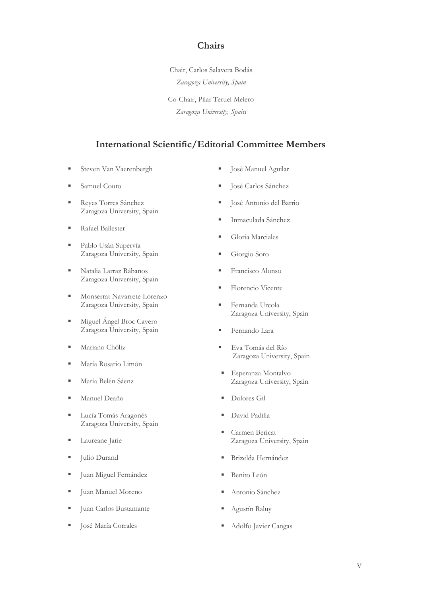### **Chairs**

Chair, Carlos Salavera Bodás *Zaragoza University, Spain*

Co-Chair, Pilar Teruel Melero *Zaragoza University, Spai*n

## **International Scientific/Editorial Committee Members**

**EXECUTE:** Steven Van Vaerenbergh

**· José Manuel Aguilar** 

- Samuel Couto
- Reyes Torres Sánchez Zaragoza University, Spain
- Rafael Ballester
- Pablo Usán Supervía Zaragoza University, Spain
- Natalia Larraz Rábanos Zaragoza University, Spain
- **■** Monserrat Navarrete Lorenzo Zaragoza University, Spain
- **EXECUTE:** Miguel Ángel Broc Cavero Zaragoza University, Spain
- Mariano Chóliz
- María Rosario Limón
- María Belén Sáenz
- Manuel Deaño
- Lucía Tomás Aragonés Zaragoza University, Spain
- Laureane Jarie
- **Julio Durand**
- Juan Miguel Fernández
- Juan Manuel Moreno
- Juan Carlos Bustamante
- **José María Corrales**
- 
- José Carlos Sánchez
- José Antonio del Barrio
- Inmaculada Sánchez
- Gloria Marciales
- Giorgio Soro
- **Francisco Alonso**
- Florencio Vicente
- Fernanda Urcola Zaragoza University, Spain
- Fernando Lara
- Eva Tomás del Río Zaragoza University, Spain
- Esperanza Montalvo Zaragoza University, Spain
- Dolores Gil
- David Padilla
- Carmen Bericat Zaragoza University, Spain
- **Brizelda Hernández**
- Benito León
- Antonio Sánchez
- Agustín Raluy
- Adolfo Javier Cangas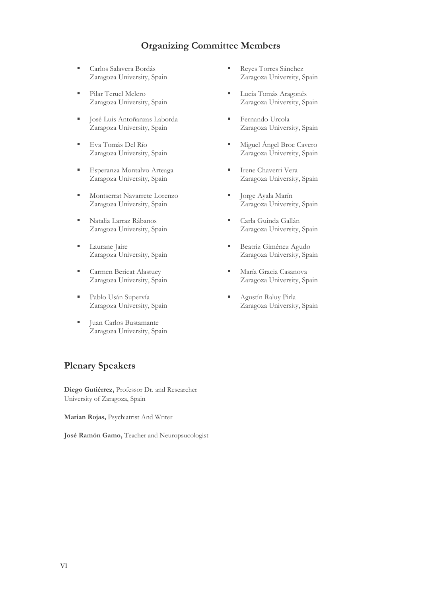## **Organizing Committee Members**

- Carlos Salavera Bordás Zaragoza University, Spain
- Pilar Teruel Melero Zaragoza University, Spain
- **· José Luis Antoñanzas Laborda** Zaragoza University, Spain
- Eva Tomás Del Río Zaragoza University, Spain
- **Esperanza Montalvo Arteaga** Zaragoza University, Spain
- Montserrat Navarrete Lorenzo Zaragoza University, Spain
- Natalia Larraz Rábanos Zaragoza University, Spain
- **Laurane** Jaire Zaragoza University, Spain
- **Exercise Bericat Alastuey** Zaragoza University, Spain
- Pablo Usán Supervía Zaragoza University, Spain
- Juan Carlos Bustamante Zaragoza University, Spain

### **Plenary Speakers**

**Diego Gutiérrez,** Professor Dr. and Researcher University of Zaragoza, Spain

**Marian Rojas,** Psychiatrist And Writer

**José Ramón Gamo,** Teacher and Neuropsucologist

- Reves Torres Sánchez Zaragoza University, Spain
- Lucía Tomás Aragonés Zaragoza University, Spain
- Fernando Urcola Zaragoza University, Spain
- Miguel Ángel Broc Cavero Zaragoza University, Spain
- **Exercic Chaverri Vera** Zaragoza University, Spain
- Jorge Ayala Marín Zaragoza University, Spain
- Carla Guinda Gallán Zaragoza University, Spain
- **Beatriz Giménez Agudo** Zaragoza University, Spain
- **· María Gracia Casanova** Zaragoza University, Spain
- **B** Agustín Raluy Pirla Zaragoza University, Spain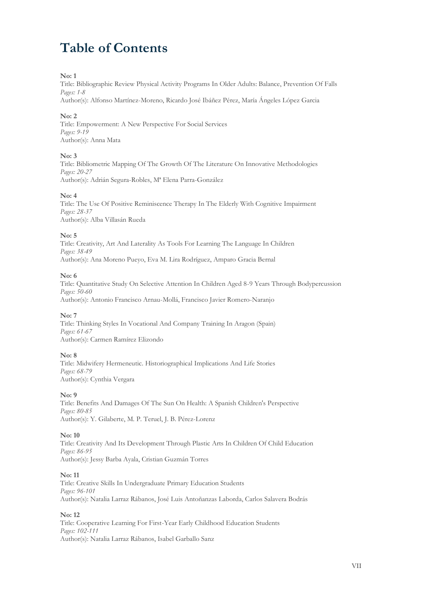# **Table of Contents**

#### **No: 1**

Title: Bibliographic Review Physical Activity Programs In Older Adults: Balance, Prevention Of Falls *Pages: 1-8*

Author(s): Alfonso Martínez-Moreno, Ricardo José Ibáñez Pérez, María Ángeles López Garcia

#### **No: 2**

Title: Empowerment: A New Perspective For Social Services *Pages: 9-19* Author(s): Anna Mata

#### **No: 3**

Title: Bibliometric Mapping Of The Growth Of The Literature On Innovative Methodologies *Pages: 20-27* Author(s): Adrián Segura-Robles, Mª Elena Parra-González

#### **No: 4**

Title: The Use Of Positive Reminiscence Therapy In The Elderly With Cognitive Impairment *Pages: 28-37* Author(s): Alba Villasán Rueda

#### **No: 5**

Title: Creativity, Art And Laterality As Tools For Learning The Language In Children *Pages: 38-49* Author(s): Ana Moreno Pueyo, Eva M. Lira Rodríguez, Amparo Gracia Bernal

#### **No: 6**

Title: Quantitative Study On Selective Attention In Children Aged 8-9 Years Through Bodypercussion *Pages: 50-60* Author(s): Antonio Francisco Arnau-Mollá, Francisco Javier Romero-Naranjo

#### **No: 7**

Title: Thinking Styles In Vocational And Company Training In Aragon (Spain) *Pages: 61-67* Author(s): Carmen Ramírez Elizondo

#### **No: 8**

Title: Midwifery Hermeneutic. Historiographical Implications And Life Stories *Pages: 68-79* Author(s): Cynthia Vergara

#### **No: 9**

Title: Benefits And Damages Of The Sun On Health: A Spanish Children's Perspective *Pages: 80-85* Author(s): Y. Gilaberte, M. P. Teruel, J. B. Pérez-Lorenz

#### **No: 10**

Title: Creativity And Its Development Through Plastic Arts In Children Of Child Education *Pages: 86-95* Author(s): Jessy Barba Ayala, Cristian Guzmán Torres

#### **No: 11**

Title: Creative Skills In Undergraduate Primary Education Students *Pages: 96-101* Author(s): Natalia Larraz Rábanos, José Luis Antoñanzas Laborda, Carlos Salavera Bodrás

#### **No: 12**

Title: Cooperative Learning For First-Year Early Childhood Education Students *Pages: 102-111* Author(s): Natalia Larraz Rábanos, Isabel Garballo Sanz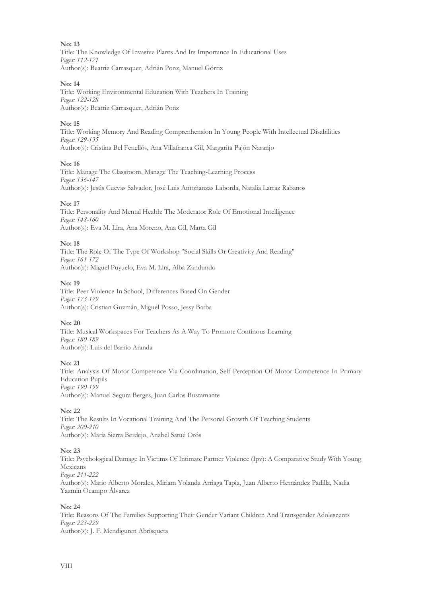#### **No: 13**

Title: The Knowledge Of Invasive Plants And Its Importance In Educational Uses *Pages: 112-121* Author(s): Beatriz Carrasquer, Adrián Ponz, Manuel Górriz

#### **No: 14**

Title: Working Environmental Education With Teachers In Training *Pages: 122-128* Author(s): Beatriz Carrasquer, Adrián Ponz

#### **No: 15**

Title: Working Memory And Reading Comprenhension In Young People With Intellectual Disabilities *Pages: 129-135* Author(s): Cristina Bel Fenellós, Ana Villafranca Gil, Margarita Pajón Naranjo

#### **No: 16**

Title: Manage The Classroom, Manage The Teaching-Learning Process *Pages: 136-147* Author(s): Jesús Cuevas Salvador, José Luis Antoñanzas Laborda, Natalia Larraz Rabanos

#### **No: 17**

Title: Personality And Mental Health: The Moderator Role Of Emotional Intelligence *Pages: 148-160* Author(s): Eva M. Lira, Ana Moreno, Ana Gil, Marta Gil

#### **No: 18**

Title: The Role Of The Type Of Workshop "Social Skills Or Creativity And Reading" *Pages: 161-172* Author(s): Miguel Puyuelo, Eva M. Lira, Alba Zandundo

#### **No: 19**

Title: Peer Violence In School, Differences Based On Gender *Pages: 173-179* Author(s): Cristian Guzmán, Miguel Posso, Jessy Barba

#### **No: 20**

Title: Musical Workspaces For Teachers As A Way To Promote Continous Learning *Pages: 180-189* Author(s): Luis del Barrio Aranda

#### **No: 21**

Title: Analysis Of Motor Competence Via Coordination, Self-Perception Of Motor Competence In Primary Education Pupils *Pages: 190-199* Author(s): Manuel Segura Berges, Juan Carlos Bustamante

#### **No: 22**

Title: The Results In Vocational Training And The Personal Growth Of Teaching Students *Pages: 200-210* Author(s): María Sierra Berdejo, Anabel Satué Orós

#### **No: 23**

Title: Psychological Damage In Victims Of Intimate Partner Violence (Ipv): A Comparative Study With Young Mexicans *Pages: 211-222* Author(s): Mario Alberto Morales, Miriam Yolanda Arriaga Tapia, Juan Alberto Hernández Padilla, Nadia Yazmin Ocampo Álvarez

#### **No: 24**

Title: Reasons Of The Families Supporting Their Gender Variant Children And Transgender Adolescents *Pages: 223-229* Author(s): J. F. Mendiguren Abrisqueta